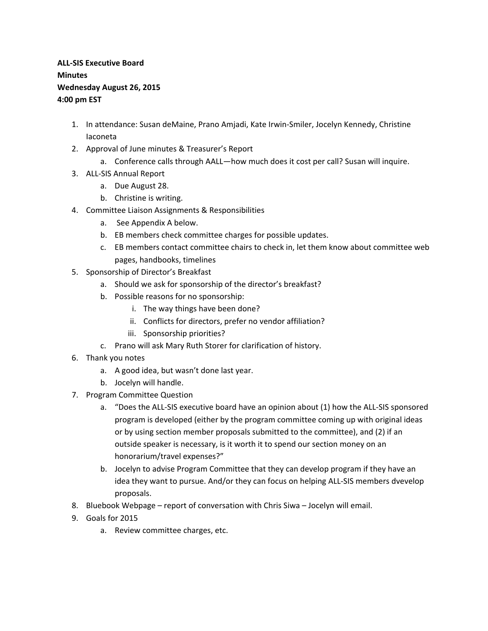## **ALL-SIS Executive Board Minutes Wednesday August 26, 2015 4:00 pm EST**

- 1. In attendance: Susan deMaine, Prano Amjadi, Kate Irwin-Smiler, Jocelyn Kennedy, Christine Iaconeta
- 2. Approval of June minutes & Treasurer's Report
	- a. Conference calls through AALL—how much does it cost per call? Susan will inquire.
- 3. ALL-SIS Annual Report
	- a. Due August 28.
	- b. Christine is writing.
- 4. Committee Liaison Assignments & Responsibilities
	- a. See Appendix A below.
	- b. EB members check committee charges for possible updates.
	- c. EB members contact committee chairs to check in, let them know about committee web pages, handbooks, timelines
- 5. Sponsorship of Director's Breakfast
	- a. Should we ask for sponsorship of the director's breakfast?
	- b. Possible reasons for no sponsorship:
		- i. The way things have been done?
		- ii. Conflicts for directors, prefer no vendor affiliation?
		- iii. Sponsorship priorities?
	- c. Prano will ask Mary Ruth Storer for clarification of history.
- 6. Thank you notes
	- a. A good idea, but wasn't done last year.
	- b. Jocelyn will handle.
- 7. Program Committee Question
	- a. "Does the ALL-SIS executive board have an opinion about (1) how the ALL-SIS sponsored program is developed (either by the program committee coming up with original ideas or by using section member proposals submitted to the committee), and (2) if an outside speaker is necessary, is it worth it to spend our section money on an honorarium/travel expenses?"
	- b. Jocelyn to advise Program Committee that they can develop program if they have an idea they want to pursue. And/or they can focus on helping ALL-SIS members dvevelop proposals.
- 8. Bluebook Webpage report of conversation with Chris Siwa Jocelyn will email.
- 9. Goals for 2015
	- a. Review committee charges, etc.